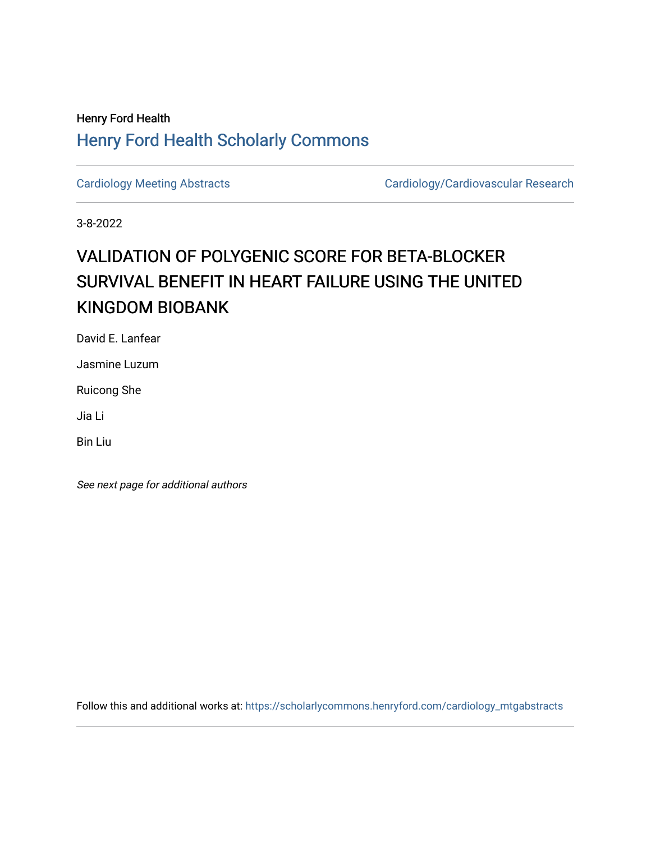## Henry Ford Health [Henry Ford Health Scholarly Commons](https://scholarlycommons.henryford.com/)

[Cardiology Meeting Abstracts](https://scholarlycommons.henryford.com/cardiology_mtgabstracts) Cardiology/Cardiovascular Research

3-8-2022

## VALIDATION OF POLYGENIC SCORE FOR BETA-BLOCKER SURVIVAL BENEFIT IN HEART FAILURE USING THE UNITED KINGDOM BIOBANK

David E. Lanfear

Jasmine Luzum

Ruicong She

Jia Li

Bin Liu

See next page for additional authors

Follow this and additional works at: [https://scholarlycommons.henryford.com/cardiology\\_mtgabstracts](https://scholarlycommons.henryford.com/cardiology_mtgabstracts?utm_source=scholarlycommons.henryford.com%2Fcardiology_mtgabstracts%2F334&utm_medium=PDF&utm_campaign=PDFCoverPages)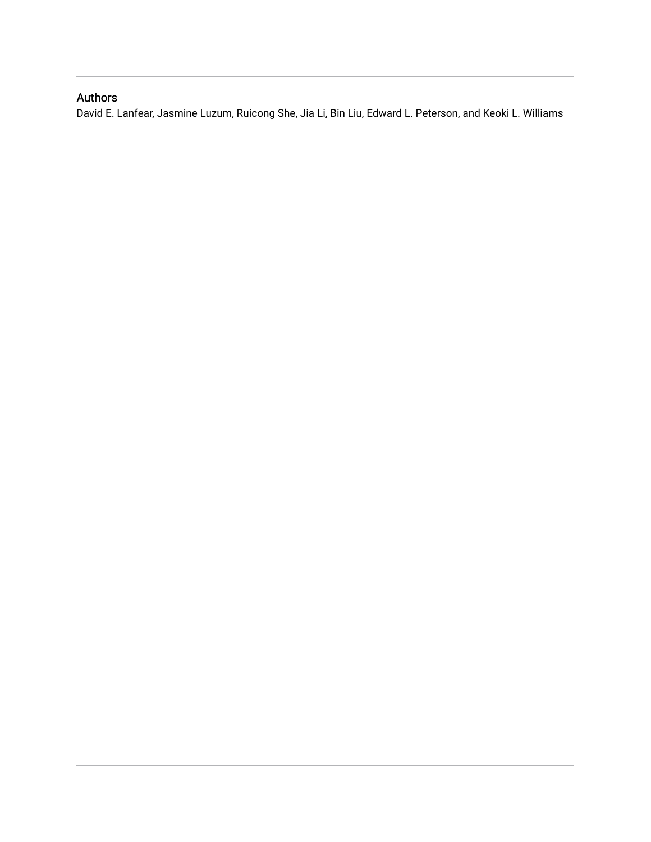## Authors

David E. Lanfear, Jasmine Luzum, Ruicong She, Jia Li, Bin Liu, Edward L. Peterson, and Keoki L. Williams